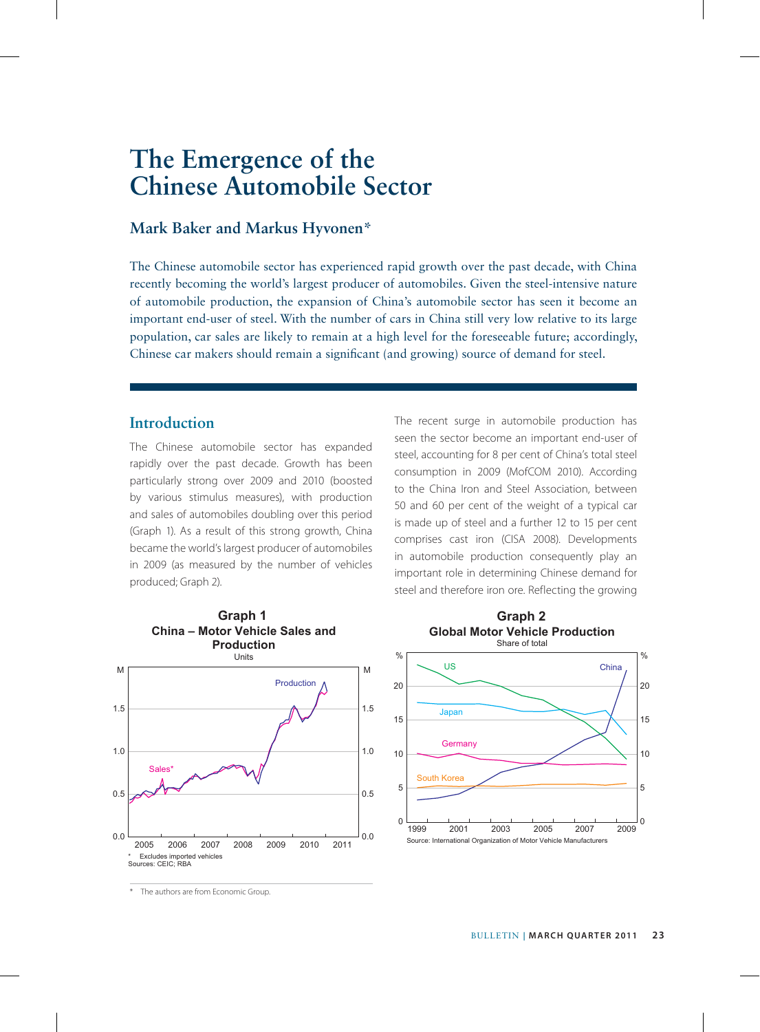# **The Emergence of the Chinese Automobile Sector**

## **Mark Baker and Markus Hyvonen\***

The Chinese automobile sector has experienced rapid growth over the past decade, with China recently becoming the world's largest producer of automobiles. Given the steel-intensive nature of automobile production, the expansion of China's automobile sector has seen it become an important end-user of steel. With the number of cars in China still very low relative to its large population, car sales are likely to remain at a high level for the foreseeable future; accordingly, Chinese car makers should remain a significant (and growing) source of demand for steel.

# **Introduction**

The Chinese automobile sector has expanded rapidly over the past decade. Growth has been particularly strong over 2009 and 2010 (boosted by various stimulus measures), with production and sales of automobiles doubling over this period (Graph 1). As a result of this strong growth, China became the world's largest producer of automobiles in 2009 (as measured by the number of vehicles produced; Graph 2).

The recent surge in automobile production has seen the sector become an important end-user of steel, accounting for 8 per cent of China's total steel consumption in 2009 (MofCOM 2010). According to the China Iron and Steel Association, between 50 and 60 per cent of the weight of a typical car is made up of steel and a further 12 to 15 per cent comprises cast iron (CISA 2008). Developments in automobile production consequently play an important role in determining Chinese demand for steel and therefore iron ore. Reflecting the growing





\* The authors are from Economic Group.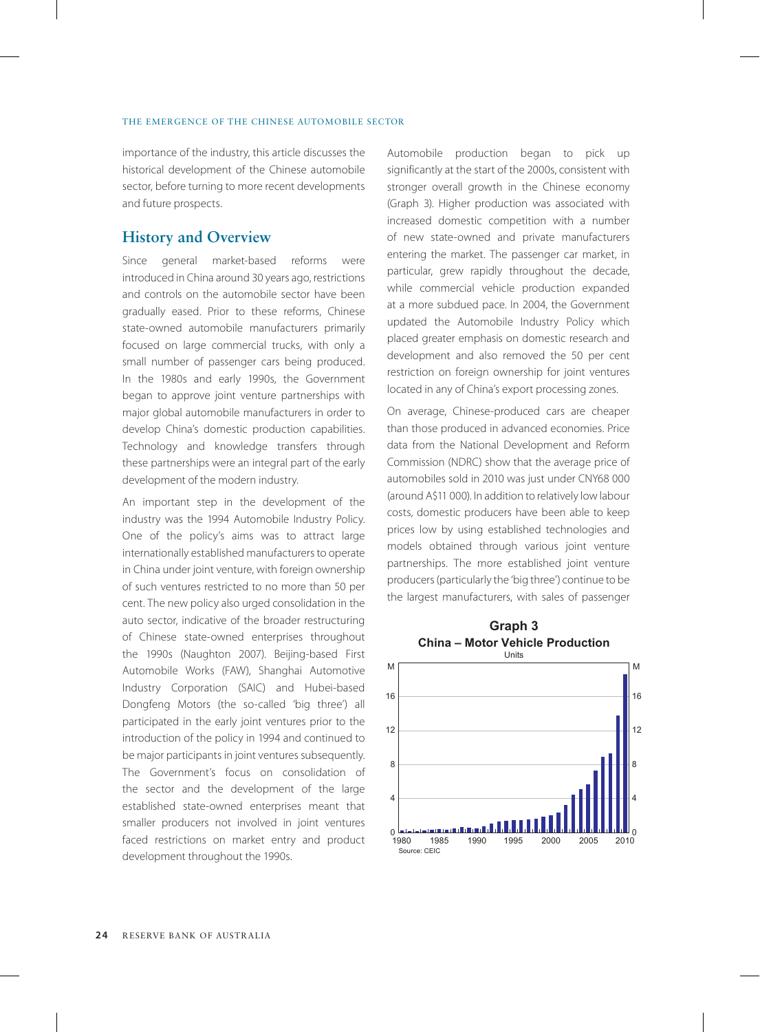importance of the industry, this article discusses the historical development of the Chinese automobile sector, before turning to more recent developments and future prospects.

# **History and Overview**

Since general market-based reforms were introduced in China around 30 years ago, restrictions and controls on the automobile sector have been gradually eased. Prior to these reforms, Chinese state-owned automobile manufacturers primarily focused on large commercial trucks, with only a small number of passenger cars being produced. In the 1980s and early 1990s, the Government began to approve joint venture partnerships with major global automobile manufacturers in order to develop China's domestic production capabilities. Technology and knowledge transfers through these partnerships were an integral part of the early development of the modern industry.

An important step in the development of the industry was the 1994 Automobile Industry Policy. One of the policy's aims was to attract large internationally established manufacturers to operate in China under joint venture, with foreign ownership of such ventures restricted to no more than 50 per cent. The new policy also urged consolidation in the auto sector, indicative of the broader restructuring of Chinese state-owned enterprises throughout the 1990s (Naughton 2007). Beijing-based First Automobile Works (FAW), Shanghai Automotive Industry Corporation (SAIC) and Hubei-based Dongfeng Motors (the so-called 'big three') all participated in the early joint ventures prior to the introduction of the policy in 1994 and continued to be major participants in joint ventures subsequently. The Government's focus on consolidation of the sector and the development of the large established state-owned enterprises meant that smaller producers not involved in joint ventures faced restrictions on market entry and product development throughout the 1990s.

Automobile production began to pick up significantly at the start of the 2000s, consistent with stronger overall growth in the Chinese economy (Graph 3). Higher production was associated with increased domestic competition with a number of new state-owned and private manufacturers entering the market. The passenger car market, in particular, grew rapidly throughout the decade, while commercial vehicle production expanded at a more subdued pace. In 2004, the Government updated the Automobile Industry Policy which placed greater emphasis on domestic research and development and also removed the 50 per cent restriction on foreign ownership for joint ventures located in any of China's export processing zones.

On average, Chinese-produced cars are cheaper than those produced in advanced economies. Price data from the National Development and Reform Commission (NDRC) show that the average price of automobiles sold in 2010 was just under CNY68 000 (around A\$11 000). In addition to relatively low labour costs, domestic producers have been able to keep prices low by using established technologies and models obtained through various joint venture partnerships. The more established joint venture producers (particularly the 'big three') continue to be the largest manufacturers, with sales of passenger

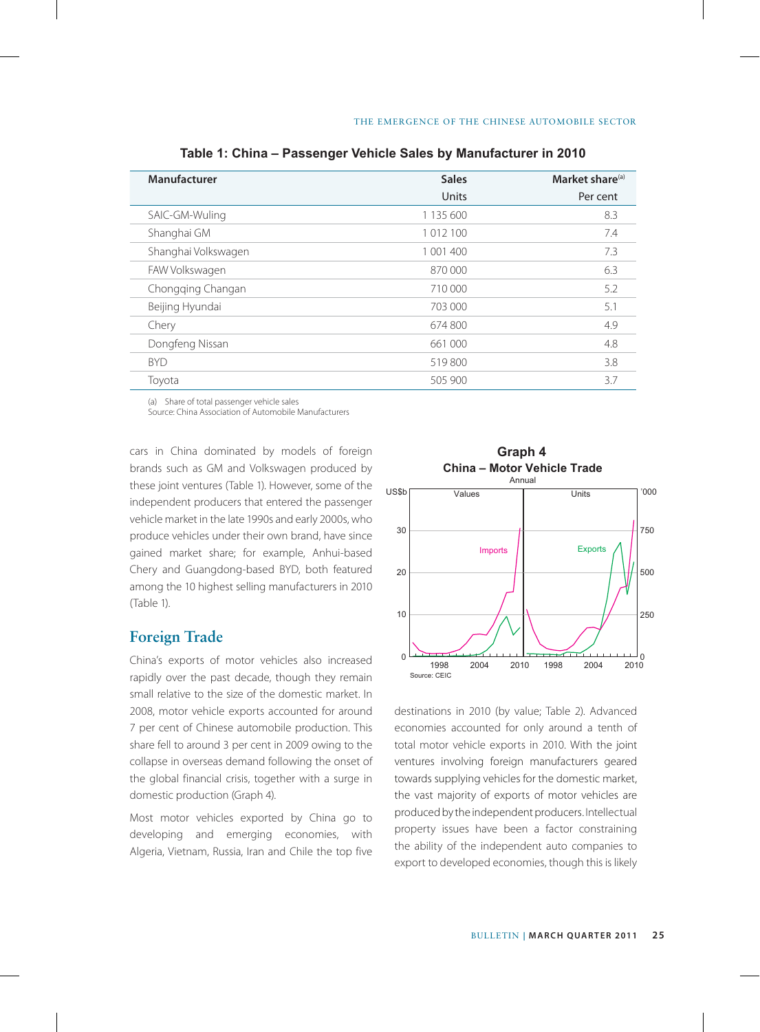| Manufacturer        | <b>Sales</b> | Market share <sup>(a)</sup> |
|---------------------|--------------|-----------------------------|
|                     | Units        | Per cent                    |
| SAIC-GM-Wuling      | 1 135 600    | 8.3                         |
| Shanghai GM         | 1 012 100    | 7.4                         |
| Shanghai Volkswagen | 1 001 400    | 7.3                         |
| FAW Volkswagen      | 870 000      | 6.3                         |
| Chongging Changan   | 710 000      | 5.2                         |
| Beijing Hyundai     | 703 000      | 5.1                         |
| Chery               | 674800       | 4.9                         |
| Dongfeng Nissan     | 661 000      | 4.8                         |
| <b>BYD</b>          | 519800       | 3.8                         |
| Toyota              | 505 900      | 3.7                         |

**Table 1: China – Passenger Vehicle Sales by Manufacturer in 2010**

(a) Share of total passenger vehicle sales

Source: China Association of Automobile Manufacturers

cars in China dominated by models of foreign brands such as GM and Volkswagen produced by these joint ventures (Table 1). However, some of the independent producers that entered the passenger vehicle market in the late 1990s and early 2000s, who produce vehicles under their own brand, have since gained market share; for example, Anhui-based Chery and Guangdong-based BYD, both featured among the 10 highest selling manufacturers in 2010 (Table 1).

# **Foreign Trade**

China's exports of motor vehicles also increased rapidly over the past decade, though they remain small relative to the size of the domestic market. In 2008, motor vehicle exports accounted for around 7 per cent of Chinese automobile production. This share fell to around 3 per cent in 2009 owing to the collapse in overseas demand following the onset of the global financial crisis, together with a surge in domestic production (Graph 4).

Most motor vehicles exported by China go to developing and emerging economies, with Algeria, Vietnam, Russia, Iran and Chile the top five



destinations in 2010 (by value; Table 2). Advanced economies accounted for only around a tenth of total motor vehicle exports in 2010. With the joint ventures involving foreign manufacturers geared towards supplying vehicles for the domestic market, the vast majority of exports of motor vehicles are produced by the independent producers. Intellectual property issues have been a factor constraining the ability of the independent auto companies to export to developed economies, though this is likely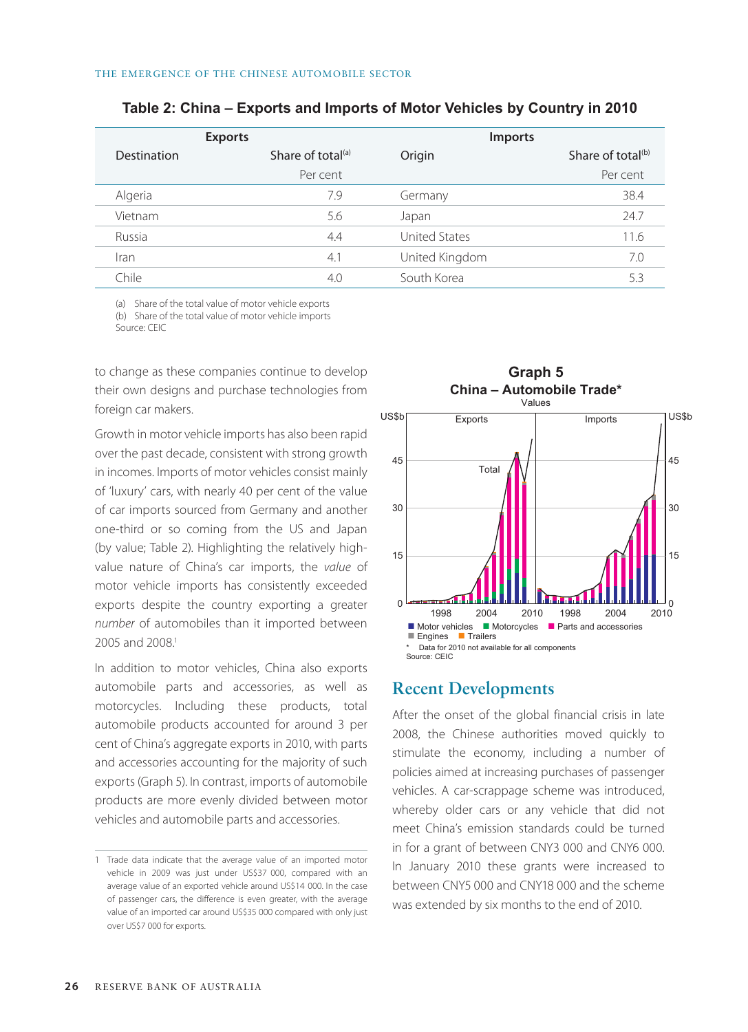| <b>Exports</b>     |                   | <b>Imports</b>       |                               |
|--------------------|-------------------|----------------------|-------------------------------|
| <b>Destination</b> | Share of total(a) | Origin               | Share of total <sup>(b)</sup> |
|                    | Per cent          |                      | Per cent                      |
| Algeria            | 7.9               | Germany              | 38.4                          |
| Vietnam            | 5.6               | Japan                | 24.7                          |
| Russia             | 4.4               | <b>United States</b> | 11.6                          |
| Iran               | 4.1               | United Kingdom       | 7.0                           |
| Chile              | 4.0               | South Korea          | 5.3                           |

#### **Table 2: China – Exports and Imports of Motor Vehicles by Country in 2010**

(a) Share of the total value of motor vehicle exports (b) Share of the total value of motor vehicle imports Source: CEIC

to change as these companies continue to develop their own designs and purchase technologies from foreign car makers.

Growth in motor vehicle imports has also been rapid over the past decade, consistent with strong growth in incomes. Imports of motor vehicles consist mainly of 'luxury' cars, with nearly 40 per cent of the value of car imports sourced from Germany and another one-third or so coming from the US and Japan (by value; Table 2). Highlighting the relatively highvalue nature of China's car imports, the *value* of motor vehicle imports has consistently exceeded exports despite the country exporting a greater *number* of automobiles than it imported between 2005 and 2008.1

In addition to motor vehicles, China also exports automobile parts and accessories, as well as motorcycles. Including these products, total automobile products accounted for around 3 per cent of China's aggregate exports in 2010, with parts and accessories accounting for the majority of such exports (Graph 5). In contrast, imports of automobile products are more evenly divided between motor vehicles and automobile parts and accessories.



## **Recent Developments**

After the onset of the global financial crisis in late 2008, the Chinese authorities moved quickly to stimulate the economy, including a number of policies aimed at increasing purchases of passenger vehicles. A car-scrappage scheme was introduced, whereby older cars or any vehicle that did not meet China's emission standards could be turned in for a grant of between CNY3 000 and CNY6 000. In January 2010 these grants were increased to between CNY5 000 and CNY18 000 and the scheme was extended by six months to the end of 2010.

<sup>1</sup> Trade data indicate that the average value of an imported motor vehicle in 2009 was just under US\$37 000, compared with an average value of an exported vehicle around US\$14 000. In the case of passenger cars, the difference is even greater, with the average value of an imported car around US\$35 000 compared with only just over US\$7 000 for exports.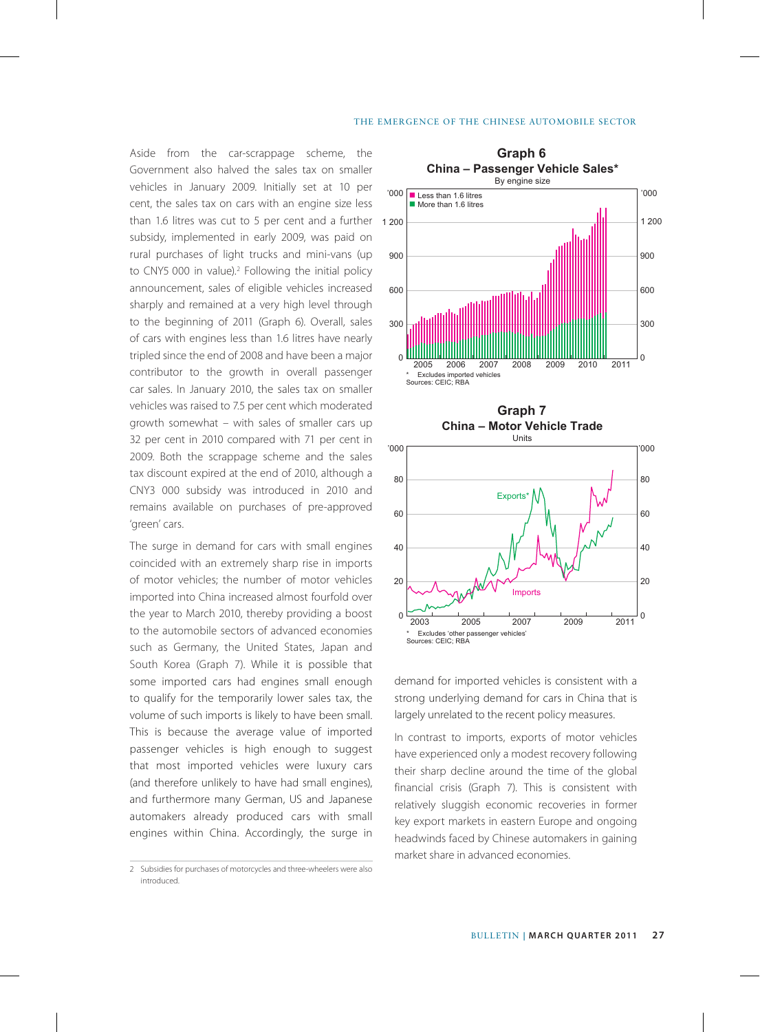#### The Emergence of the Chinese Automobile Sector

Aside from the car-scrappage scheme, the Government also halved the sales tax on smaller vehicles in January 2009. Initially set at 10 per cent, the sales tax on cars with an engine size less than 1.6 litres was cut to 5 per cent and a further subsidy, implemented in early 2009, was paid on rural purchases of light trucks and mini-vans (up to CNY5 000 in value).<sup>2</sup> Following the initial policy announcement, sales of eligible vehicles increased sharply and remained at a very high level through to the beginning of 2011 (Graph 6). Overall, sales of cars with engines less than 1.6 litres have nearly tripled since the end of 2008 and have been a major contributor to the growth in overall passenger car sales. In January 2010, the sales tax on smaller vehicles was raised to 7.5 per cent which moderated growth somewhat – with sales of smaller cars up 32 per cent in 2010 compared with 71 per cent in 2009. Both the scrappage scheme and the sales tax discount expired at the end of 2010, although a CNY3 000 subsidy was introduced in 2010 and remains available on purchases of pre-approved 'green' cars.

The surge in demand for cars with small engines coincided with an extremely sharp rise in imports of motor vehicles; the number of motor vehicles imported into China increased almost fourfold over the year to March 2010, thereby providing a boost to the automobile sectors of advanced economies such as Germany, the United States, Japan and South Korea (Graph 7). While it is possible that some imported cars had engines small enough to qualify for the temporarily lower sales tax, the volume of such imports is likely to have been small. This is because the average value of imported passenger vehicles is high enough to suggest that most imported vehicles were luxury cars (and therefore unlikely to have had small engines), and furthermore many German, US and Japanese automakers already produced cars with small engines within China. Accordingly, the surge in





demand for imported vehicles is consistent with a strong underlying demand for cars in China that is largely unrelated to the recent policy measures.

In contrast to imports, exports of motor vehicles have experienced only a modest recovery following their sharp decline around the time of the global financial crisis (Graph 7). This is consistent with relatively sluggish economic recoveries in former key export markets in eastern Europe and ongoing headwinds faced by Chinese automakers in gaining market share in advanced economies.

<sup>2</sup> Subsidies for purchases of motorcycles and three-wheelers were also introduced.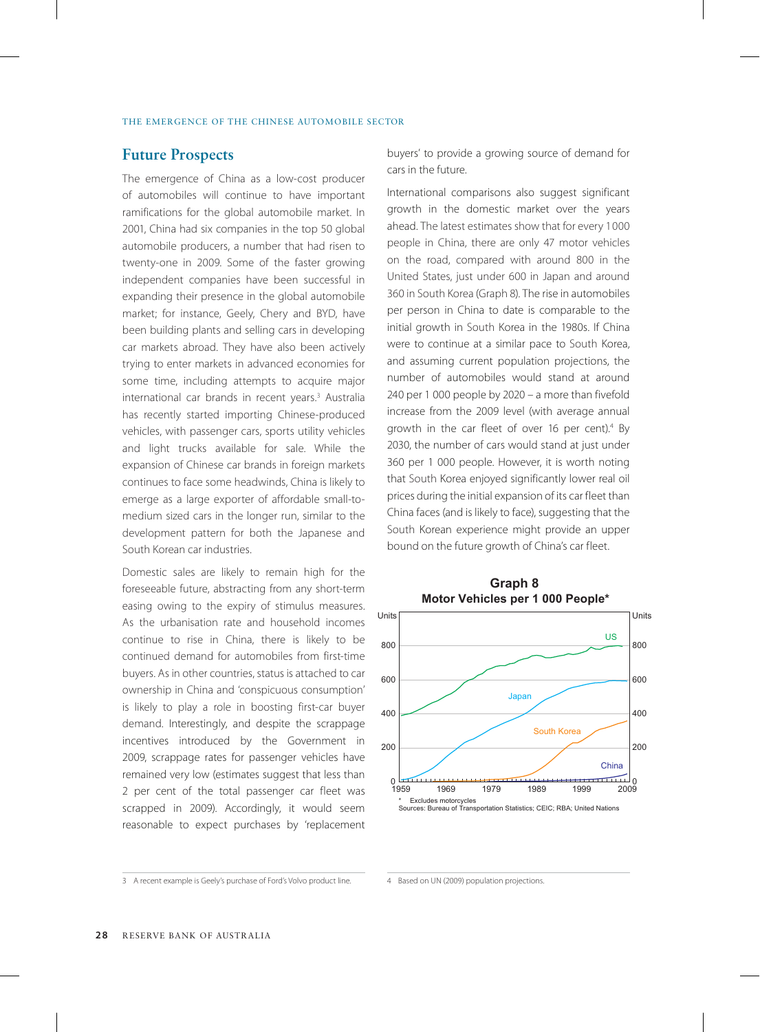## **Future Prospects**

The emergence of China as a low-cost producer of automobiles will continue to have important ramifications for the global automobile market. In 2001, China had six companies in the top 50 global automobile producers, a number that had risen to twenty-one in 2009. Some of the faster growing independent companies have been successful in expanding their presence in the global automobile market; for instance, Geely, Chery and BYD, have been building plants and selling cars in developing car markets abroad. They have also been actively trying to enter markets in advanced economies for some time, including attempts to acquire major international car brands in recent years.3 Australia has recently started importing Chinese-produced vehicles, with passenger cars, sports utility vehicles and light trucks available for sale. While the expansion of Chinese car brands in foreign markets continues to face some headwinds, China is likely to emerge as a large exporter of affordable small-tomedium sized cars in the longer run, similar to the development pattern for both the Japanese and South Korean car industries.

Domestic sales are likely to remain high for the foreseeable future, abstracting from any short-term easing owing to the expiry of stimulus measures. As the urbanisation rate and household incomes continue to rise in China, there is likely to be continued demand for automobiles from first-time buyers. As in other countries, status is attached to car ownership in China and 'conspicuous consumption' is likely to play a role in boosting first-car buyer demand. Interestingly, and despite the scrappage incentives introduced by the Government in 2009, scrappage rates for passenger vehicles have remained very low (estimates suggest that less than 2 per cent of the total passenger car fleet was scrapped in 2009). Accordingly, it would seem reasonable to expect purchases by 'replacement buyers' to provide a growing source of demand for cars in the future.

International comparisons also suggest significant growth in the domestic market over the years ahead. The latest estimates show that for every 1 000 people in China, there are only 47 motor vehicles on the road, compared with around 800 in the United States, just under 600 in Japan and around 360 in South Korea (Graph 8). The rise in automobiles per person in China to date is comparable to the initial growth in South Korea in the 1980s. If China were to continue at a similar pace to South Korea, and assuming current population projections, the number of automobiles would stand at around 240 per 1 000 people by 2020 – a more than fivefold increase from the 2009 level (with average annual growth in the car fleet of over 16 per cent).<sup>4</sup> By 2030, the number of cars would stand at just under 360 per 1 000 people. However, it is worth noting that South Korea enjoyed significantly lower real oil prices during the initial expansion of its car fleet than China faces (and is likely to face), suggesting that the South Korean experience might provide an upper bound on the future growth of China's car fleet.



<sup>3</sup> A recent example is Geely's purchase of Ford's Volvo product line.

<sup>4</sup> Based on UN (2009) population projections.